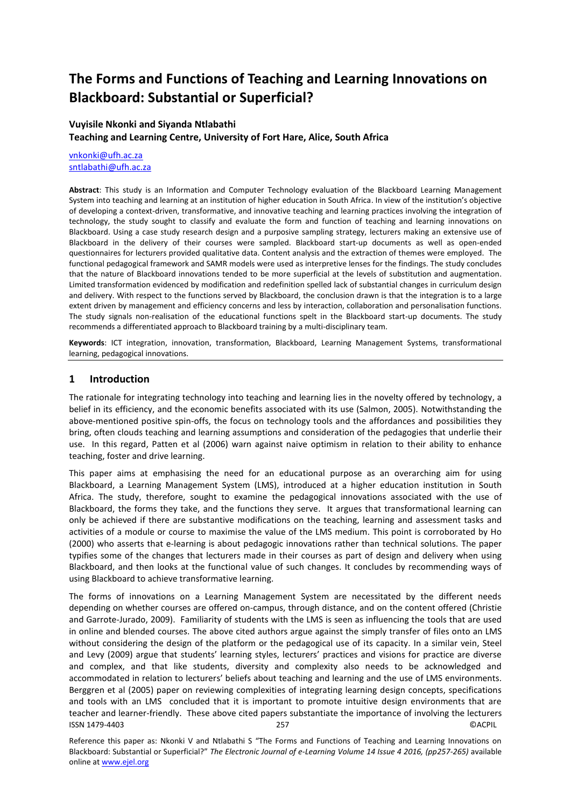# **The Forms and Functions of Teaching and Learning Innovations on Blackboard: Substantial or Superficial?**

# **Vuyisile Nkonki and Siyanda Ntlabathi Teaching and Learning Centre, University of Fort Hare, Alice, South Africa**

[vnkonki@ufh.ac.za](mailto:vnkonki@ufh.ac.za) [sntlabathi@ufh.ac.za](mailto:sntlabathi@ufh.ac.za)

**Abstract**: This study is an Information and Computer Technology evaluation of the Blackboard Learning Management System into teaching and learning at an institution of higher education in South Africa. In view of the institution's objective of developing a context-driven, transformative, and innovative teaching and learning practices involving the integration of technology, the study sought to classify and evaluate the form and function of teaching and learning innovations on Blackboard. Using a case study research design and a purposive sampling strategy, lecturers making an extensive use of Blackboard in the delivery of their courses were sampled. Blackboard start-up documents as well as open-ended questionnaires for lecturers provided qualitative data. Content analysis and the extraction of themes were employed. The functional pedagogical framework and SAMR models were used as interpretive lenses for the findings. The study concludes that the nature of Blackboard innovations tended to be more superficial at the levels of substitution and augmentation. Limited transformation evidenced by modification and redefinition spelled lack of substantial changes in curriculum design and delivery. With respect to the functions served by Blackboard, the conclusion drawn is that the integration is to a large extent driven by management and efficiency concerns and less by interaction, collaboration and personalisation functions. The study signals non-realisation of the educational functions spelt in the Blackboard start-up documents. The study recommends a differentiated approach to Blackboard training by a multi-disciplinary team.

**Keywords**: ICT integration, innovation, transformation, Blackboard, Learning Management Systems, transformational learning, pedagogical innovations.

# **1 Introduction**

The rationale for integrating technology into teaching and learning lies in the novelty offered by technology, a belief in its efficiency, and the economic benefits associated with its use (Salmon, 2005). Notwithstanding the above-mentioned positive spin-offs, the focus on technology tools and the affordances and possibilities they bring, often clouds teaching and learning assumptions and consideration of the pedagogies that underlie their use. In this regard, Patten et al (2006) warn against naive optimism in relation to their ability to enhance teaching, foster and drive learning.

This paper aims at emphasising the need for an educational purpose as an overarching aim for using Blackboard, a Learning Management System (LMS), introduced at a higher education institution in South Africa. The study, therefore, sought to examine the pedagogical innovations associated with the use of Blackboard, the forms they take, and the functions they serve. It argues that transformational learning can only be achieved if there are substantive modifications on the teaching, learning and assessment tasks and activities of a module or course to maximise the value of the LMS medium. This point is corroborated by Ho (2000) who asserts that e-learning is about pedagogic innovations rather than technical solutions. The paper typifies some of the changes that lecturers made in their courses as part of design and delivery when using Blackboard, and then looks at the functional value of such changes. It concludes by recommending ways of using Blackboard to achieve transformative learning.

ISSN 1479-4403 257 ©ACPIL The forms of innovations on a Learning Management System are necessitated by the different needs depending on whether courses are offered on-campus, through distance, and on the content offered (Christie and Garrote-Jurado, 2009). Familiarity of students with the LMS is seen as influencing the tools that are used in online and blended courses. The above cited authors argue against the simply transfer of files onto an LMS without considering the design of the platform or the pedagogical use of its capacity. In a similar vein, Steel and Levy (2009) argue that students' learning styles, lecturers' practices and visions for practice are diverse and complex, and that like students, diversity and complexity also needs to be acknowledged and accommodated in relation to lecturers' beliefs about teaching and learning and the use of LMS environments. Berggren et al (2005) paper on reviewing complexities of integrating learning design concepts, specifications and tools with an LMS concluded that it is important to promote intuitive design environments that are teacher and learner-friendly. These above cited papers substantiate the importance of involving the lecturers

Reference this paper as: Nkonki V and Ntlabathi S "The Forms and Functions of Teaching and Learning Innovations on Blackboard: Substantial or Superficial?" *The Electronic Journal of e-Learning Volume 14 Issue 4 2016, (pp257-265)* available online at www.ejel.org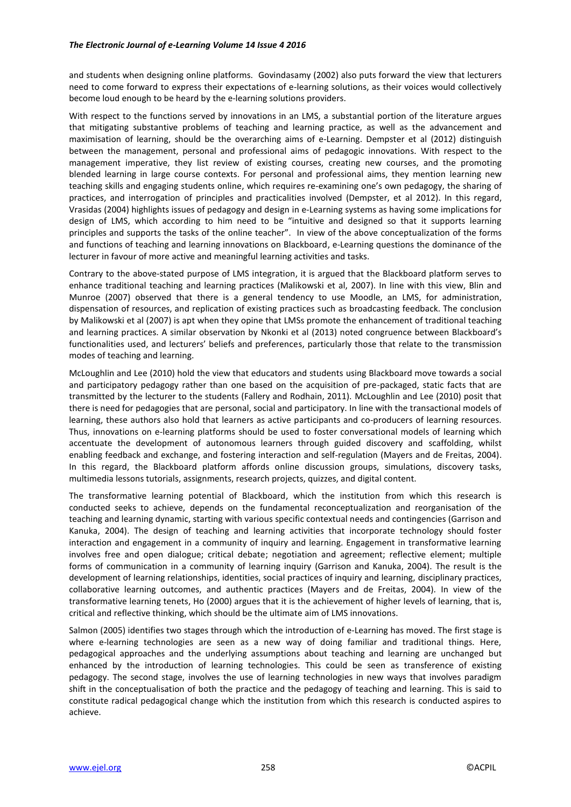#### *The Electronic Journal of e-Learning Volume 14 Issue 4 2016*

and students when designing online platforms. Govindasamy (2002) also puts forward the view that lecturers need to come forward to express their expectations of e-learning solutions, as their voices would collectively become loud enough to be heard by the e-learning solutions providers.

With respect to the functions served by innovations in an LMS, a substantial portion of the literature argues that mitigating substantive problems of teaching and learning practice, as well as the advancement and maximisation of learning, should be the overarching aims of e-Learning. Dempster et al (2012) distinguish between the management, personal and professional aims of pedagogic innovations. With respect to the management imperative, they list review of existing courses, creating new courses, and the promoting blended learning in large course contexts. For personal and professional aims, they mention learning new teaching skills and engaging students online, which requires re-examining one's own pedagogy, the sharing of practices, and interrogation of principles and practicalities involved (Dempster, et al 2012). In this regard, Vrasidas (2004) highlights issues of pedagogy and design in e-Learning systems as having some implications for design of LMS, which according to him need to be "intuitive and designed so that it supports learning principles and supports the tasks of the online teacher". In view of the above conceptualization of the forms and functions of teaching and learning innovations on Blackboard, e-Learning questions the dominance of the lecturer in favour of more active and meaningful learning activities and tasks.

Contrary to the above-stated purpose of LMS integration, it is argued that the Blackboard platform serves to enhance traditional teaching and learning practices (Malikowski et al, 2007). In line with this view, Blin and Munroe (2007) observed that there is a general tendency to use Moodle, an LMS, for administration, dispensation of resources, and replication of existing practices such as broadcasting feedback. The conclusion by Malikowski et al (2007) is apt when they opine that LMSs promote the enhancement of traditional teaching and learning practices. A similar observation by Nkonki et al (2013) noted congruence between Blackboard's functionalities used, and lecturers' beliefs and preferences, particularly those that relate to the transmission modes of teaching and learning.

McLoughlin and Lee (2010) hold the view that educators and students using Blackboard move towards a social and participatory pedagogy rather than one based on the acquisition of pre-packaged, static facts that are transmitted by the lecturer to the students (Fallery and Rodhain, 2011). McLoughlin and Lee (2010) posit that there is need for pedagogies that are personal, social and participatory. In line with the transactional models of learning, these authors also hold that learners as active participants and co-producers of learning resources. Thus, innovations on e-learning platforms should be used to foster conversational models of learning which accentuate the development of autonomous learners through guided discovery and scaffolding, whilst enabling feedback and exchange, and fostering interaction and self-regulation (Mayers and de Freitas, 2004). In this regard, the Blackboard platform affords online discussion groups, simulations, discovery tasks, multimedia lessons tutorials, assignments, research projects, quizzes, and digital content.

The transformative learning potential of Blackboard, which the institution from which this research is conducted seeks to achieve, depends on the fundamental reconceptualization and reorganisation of the teaching and learning dynamic, starting with various specific contextual needs and contingencies (Garrison and Kanuka, 2004). The design of teaching and learning activities that incorporate technology should foster interaction and engagement in a community of inquiry and learning. Engagement in transformative learning involves free and open dialogue; critical debate; negotiation and agreement; reflective element; multiple forms of communication in a community of learning inquiry (Garrison and Kanuka, 2004). The result is the development of learning relationships, identities, social practices of inquiry and learning, disciplinary practices, collaborative learning outcomes, and authentic practices (Mayers and de Freitas, 2004). In view of the transformative learning tenets, Ho (2000) argues that it is the achievement of higher levels of learning, that is, critical and reflective thinking, which should be the ultimate aim of LMS innovations.

Salmon (2005) identifies two stages through which the introduction of e-Learning has moved. The first stage is where e-learning technologies are seen as a new way of doing familiar and traditional things. Here, pedagogical approaches and the underlying assumptions about teaching and learning are unchanged but enhanced by the introduction of learning technologies. This could be seen as transference of existing pedagogy. The second stage, involves the use of learning technologies in new ways that involves paradigm shift in the conceptualisation of both the practice and the pedagogy of teaching and learning. This is said to constitute radical pedagogical change which the institution from which this research is conducted aspires to achieve.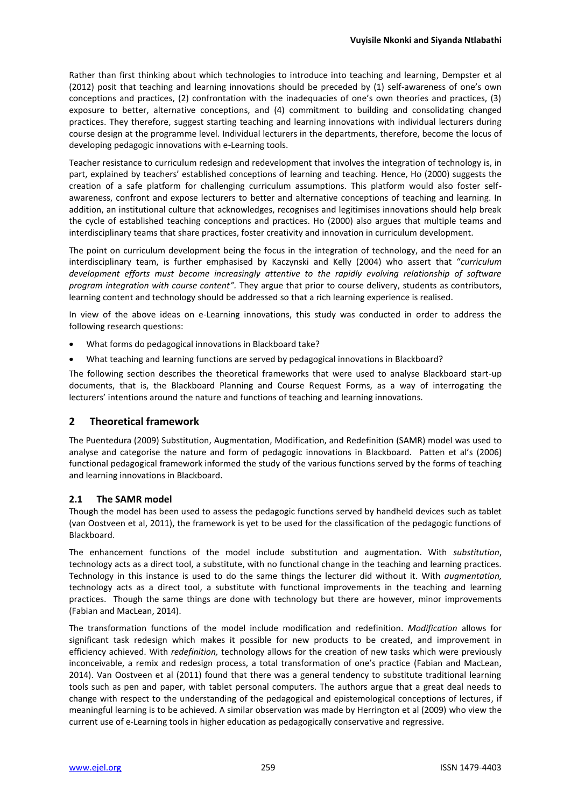Rather than first thinking about which technologies to introduce into teaching and learning, Dempster et al (2012) posit that teaching and learning innovations should be preceded by (1) self-awareness of one's own conceptions and practices, (2) confrontation with the inadequacies of one's own theories and practices, (3) exposure to better, alternative conceptions, and (4) commitment to building and consolidating changed practices. They therefore, suggest starting teaching and learning innovations with individual lecturers during course design at the programme level. Individual lecturers in the departments, therefore, become the locus of developing pedagogic innovations with e-Learning tools.

Teacher resistance to curriculum redesign and redevelopment that involves the integration of technology is, in part, explained by teachers' established conceptions of learning and teaching. Hence, Ho (2000) suggests the creation of a safe platform for challenging curriculum assumptions. This platform would also foster selfawareness, confront and expose lecturers to better and alternative conceptions of teaching and learning. In addition, an institutional culture that acknowledges, recognises and legitimises innovations should help break the cycle of established teaching conceptions and practices. Ho (2000) also argues that multiple teams and interdisciplinary teams that share practices, foster creativity and innovation in curriculum development.

The point on curriculum development being the focus in the integration of technology, and the need for an interdisciplinary team, is further emphasised by Kaczynski and Kelly (2004) who assert that "*curriculum development efforts must become increasingly attentive to the rapidly evolving relationship of software program integration with course content".* They argue that prior to course delivery, students as contributors, learning content and technology should be addressed so that a rich learning experience is realised.

In view of the above ideas on e-Learning innovations, this study was conducted in order to address the following research questions:

- What forms do pedagogical innovations in Blackboard take?
- What teaching and learning functions are served by pedagogical innovations in Blackboard?

The following section describes the theoretical frameworks that were used to analyse Blackboard start-up documents, that is, the Blackboard Planning and Course Request Forms, as a way of interrogating the lecturers' intentions around the nature and functions of teaching and learning innovations.

#### **2 Theoretical framework**

The Puentedura (2009) Substitution, Augmentation, Modification, and Redefinition (SAMR) model was used to analyse and categorise the nature and form of pedagogic innovations in Blackboard. Patten et al's (2006) functional pedagogical framework informed the study of the various functions served by the forms of teaching and learning innovations in Blackboard.

#### **2.1 The SAMR model**

Though the model has been used to assess the pedagogic functions served by handheld devices such as tablet (van Oostveen et al, 2011), the framework is yet to be used for the classification of the pedagogic functions of Blackboard.

The enhancement functions of the model include substitution and augmentation. With *substitution*, technology acts as a direct tool, a substitute, with no functional change in the teaching and learning practices. Technology in this instance is used to do the same things the lecturer did without it. With *augmentation,* technology acts as a direct tool, a substitute with functional improvements in the teaching and learning practices. Though the same things are done with technology but there are however, minor improvements (Fabian and MacLean, 2014).

The transformation functions of the model include modification and redefinition. *Modification* allows for significant task redesign which makes it possible for new products to be created, and improvement in efficiency achieved. With *redefinition,* technology allows for the creation of new tasks which were previously inconceivable, a remix and redesign process, a total transformation of one's practice (Fabian and MacLean, 2014). Van Oostveen et al (2011) found that there was a general tendency to substitute traditional learning tools such as pen and paper, with tablet personal computers. The authors argue that a great deal needs to change with respect to the understanding of the pedagogical and epistemological conceptions of lectures, if meaningful learning is to be achieved. A similar observation was made by Herrington et al (2009) who view the current use of e-Learning tools in higher education as pedagogically conservative and regressive.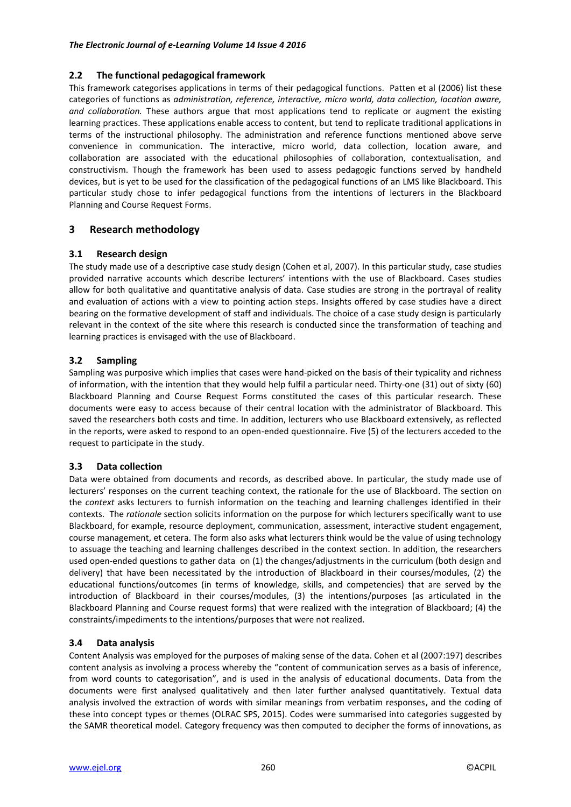#### **2.2 The functional pedagogical framework**

This framework categorises applications in terms of their pedagogical functions. Patten et al (2006) list these categories of functions as *administration, reference, interactive, micro world, data collection, location aware, and collaboration.* These authors argue that most applications tend to replicate or augment the existing learning practices. These applications enable access to content, but tend to replicate traditional applications in terms of the instructional philosophy. The administration and reference functions mentioned above serve convenience in communication. The interactive, micro world, data collection, location aware, and collaboration are associated with the educational philosophies of collaboration, contextualisation, and constructivism. Though the framework has been used to assess pedagogic functions served by handheld devices, but is yet to be used for the classification of the pedagogical functions of an LMS like Blackboard. This particular study chose to infer pedagogical functions from the intentions of lecturers in the Blackboard Planning and Course Request Forms.

# **3 Research methodology**

# **3.1 Research design**

The study made use of a descriptive case study design (Cohen et al, 2007). In this particular study, case studies provided narrative accounts which describe lecturers' intentions with the use of Blackboard. Cases studies allow for both qualitative and quantitative analysis of data. Case studies are strong in the portrayal of reality and evaluation of actions with a view to pointing action steps. Insights offered by case studies have a direct bearing on the formative development of staff and individuals. The choice of a case study design is particularly relevant in the context of the site where this research is conducted since the transformation of teaching and learning practices is envisaged with the use of Blackboard.

# **3.2 Sampling**

Sampling was purposive which implies that cases were hand-picked on the basis of their typicality and richness of information, with the intention that they would help fulfil a particular need. Thirty-one (31) out of sixty (60) Blackboard Planning and Course Request Forms constituted the cases of this particular research. These documents were easy to access because of their central location with the administrator of Blackboard. This saved the researchers both costs and time. In addition, lecturers who use Blackboard extensively, as reflected in the reports, were asked to respond to an open-ended questionnaire. Five (5) of the lecturers acceded to the request to participate in the study.

# **3.3 Data collection**

Data were obtained from documents and records, as described above. In particular, the study made use of lecturers' responses on the current teaching context, the rationale for the use of Blackboard. The section on the *context* asks lecturers to furnish information on the teaching and learning challenges identified in their contexts. The *rationale* section solicits information on the purpose for which lecturers specifically want to use Blackboard, for example, resource deployment, communication, assessment, interactive student engagement, course management, et cetera. The form also asks what lecturers think would be the value of using technology to assuage the teaching and learning challenges described in the context section. In addition, the researchers used open-ended questions to gather data on (1) the changes/adjustments in the curriculum (both design and delivery) that have been necessitated by the introduction of Blackboard in their courses/modules, (2) the educational functions/outcomes (in terms of knowledge, skills, and competencies) that are served by the introduction of Blackboard in their courses/modules, (3) the intentions/purposes (as articulated in the Blackboard Planning and Course request forms) that were realized with the integration of Blackboard; (4) the constraints/impediments to the intentions/purposes that were not realized.

# **3.4 Data analysis**

Content Analysis was employed for the purposes of making sense of the data. Cohen et al (2007:197) describes content analysis as involving a process whereby the "content of communication serves as a basis of inference, from word counts to categorisation", and is used in the analysis of educational documents. Data from the documents were first analysed qualitatively and then later further analysed quantitatively. Textual data analysis involved the extraction of words with similar meanings from verbatim responses, and the coding of these into concept types or themes (OLRAC SPS, 2015). Codes were summarised into categories suggested by the SAMR theoretical model. Category frequency was then computed to decipher the forms of innovations, as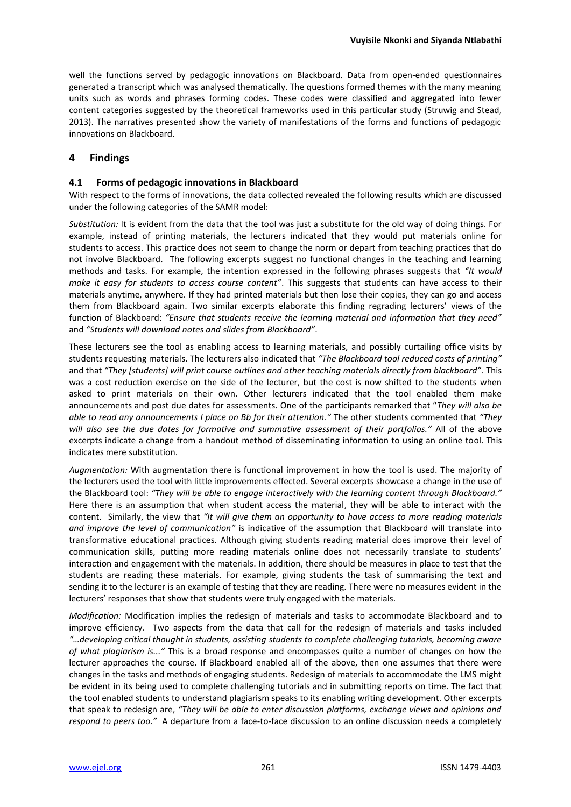well the functions served by pedagogic innovations on Blackboard. Data from open-ended questionnaires generated a transcript which was analysed thematically. The questions formed themes with the many meaning units such as words and phrases forming codes. These codes were classified and aggregated into fewer content categories suggested by the theoretical frameworks used in this particular study (Struwig and Stead, 2013). The narratives presented show the variety of manifestations of the forms and functions of pedagogic innovations on Blackboard.

# **4 Findings**

#### **4.1 Forms of pedagogic innovations in Blackboard**

With respect to the forms of innovations, the data collected revealed the following results which are discussed under the following categories of the SAMR model:

*Substitution:* It is evident from the data that the tool was just a substitute for the old way of doing things. For example, instead of printing materials, the lecturers indicated that they would put materials online for students to access. This practice does not seem to change the norm or depart from teaching practices that do not involve Blackboard. The following excerpts suggest no functional changes in the teaching and learning methods and tasks. For example, the intention expressed in the following phrases suggests that *"It would make it easy for students to access course content"*. This suggests that students can have access to their materials anytime, anywhere. If they had printed materials but then lose their copies, they can go and access them from Blackboard again. Two similar excerpts elaborate this finding regrading lecturers' views of the function of Blackboard: *"Ensure that students receive the learning material and information that they need"* and *"Students will download notes and slides from Blackboard"*.

These lecturers see the tool as enabling access to learning materials, and possibly curtailing office visits by students requesting materials. The lecturers also indicated that *"The Blackboard tool reduced costs of printing"* and that *"They [students] will print course outlines and other teaching materials directly from blackboard"*. This was a cost reduction exercise on the side of the lecturer, but the cost is now shifted to the students when asked to print materials on their own. Other lecturers indicated that the tool enabled them make announcements and post due dates for assessments. One of the participants remarked that "*They will also be able to read any announcements I place on Bb for their attention."* The other students commented that *"They will also see the due dates for formative and summative assessment of their portfolios."* All of the above excerpts indicate a change from a handout method of disseminating information to using an online tool. This indicates mere substitution.

*Augmentation:* With augmentation there is functional improvement in how the tool is used. The majority of the lecturers used the tool with little improvements effected. Several excerpts showcase a change in the use of the Blackboard tool: *"They will be able to engage interactively with the learning content through Blackboard."* Here there is an assumption that when student access the material, they will be able to interact with the content. Similarly, the view that *"It will give them an opportunity to have access to more reading materials and improve the level of communication"* is indicative of the assumption that Blackboard will translate into transformative educational practices. Although giving students reading material does improve their level of communication skills, putting more reading materials online does not necessarily translate to students' interaction and engagement with the materials. In addition, there should be measures in place to test that the students are reading these materials. For example, giving students the task of summarising the text and sending it to the lecturer is an example of testing that they are reading. There were no measures evident in the lecturers' responses that show that students were truly engaged with the materials.

*Modification:* Modification implies the redesign of materials and tasks to accommodate Blackboard and to improve efficiency. Two aspects from the data that call for the redesign of materials and tasks included *"…developing critical thought in students, assisting students to complete challenging tutorials, becoming aware of what plagiarism is..."* This is a broad response and encompasses quite a number of changes on how the lecturer approaches the course. If Blackboard enabled all of the above, then one assumes that there were changes in the tasks and methods of engaging students. Redesign of materials to accommodate the LMS might be evident in its being used to complete challenging tutorials and in submitting reports on time. The fact that the tool enabled students to understand plagiarism speaks to its enabling writing development. Other excerpts that speak to redesign are, *"They will be able to enter discussion platforms, exchange views and opinions and respond to peers too."* A departure from a face-to-face discussion to an online discussion needs a completely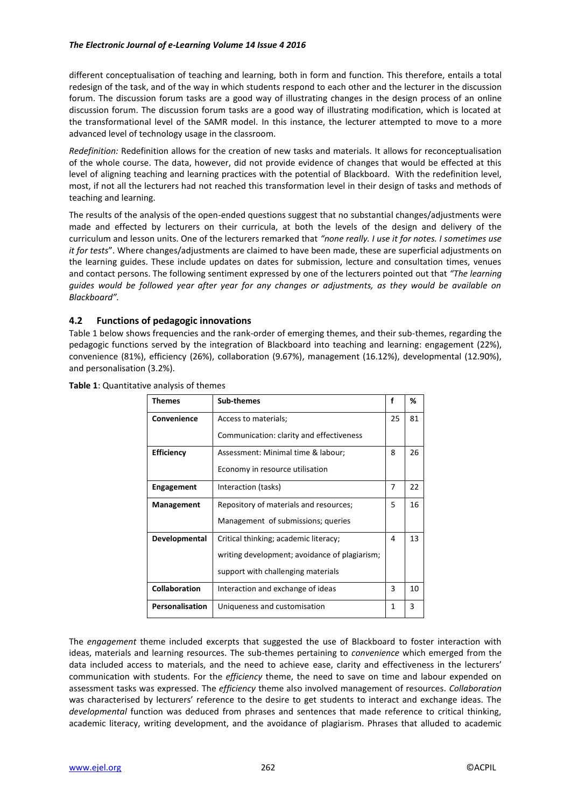#### *The Electronic Journal of e-Learning Volume 14 Issue 4 2016*

different conceptualisation of teaching and learning, both in form and function. This therefore, entails a total redesign of the task, and of the way in which students respond to each other and the lecturer in the discussion forum. The discussion forum tasks are a good way of illustrating changes in the design process of an online discussion forum. The discussion forum tasks are a good way of illustrating modification, which is located at the transformational level of the SAMR model. In this instance, the lecturer attempted to move to a more advanced level of technology usage in the classroom.

*Redefinition:* Redefinition allows for the creation of new tasks and materials. It allows for reconceptualisation of the whole course. The data, however, did not provide evidence of changes that would be effected at this level of aligning teaching and learning practices with the potential of Blackboard. With the redefinition level, most, if not all the lecturers had not reached this transformation level in their design of tasks and methods of teaching and learning.

The results of the analysis of the open-ended questions suggest that no substantial changes/adjustments were made and effected by lecturers on their curricula, at both the levels of the design and delivery of the curriculum and lesson units. One of the lecturers remarked that *"none really. I use it for notes. I sometimes use it for tests*". Where changes/adjustments are claimed to have been made, these are superficial adjustments on the learning guides. These include updates on dates for submission, lecture and consultation times, venues and contact persons. The following sentiment expressed by one of the lecturers pointed out that *"The learning guides would be followed year after year for any changes or adjustments, as they would be available on Blackboard".*

# **4.2 Functions of pedagogic innovations**

Table 1 below shows frequencies and the rank-order of emerging themes, and their sub-themes, regarding the pedagogic functions served by the integration of Blackboard into teaching and learning: engagement (22%), convenience (81%), efficiency (26%), collaboration (9.67%), management (16.12%), developmental (12.90%), and personalisation (3.2%).

| Themes               | <b>Sub-themes</b>                             | f  | %  |
|----------------------|-----------------------------------------------|----|----|
| Convenience          | Access to materials;                          | 25 | 81 |
|                      | Communication: clarity and effectiveness      |    |    |
| <b>Efficiency</b>    | Assessment: Minimal time & labour;            | 8  | 26 |
|                      | Economy in resource utilisation               |    |    |
| <b>Engagement</b>    | Interaction (tasks)                           | 7  | 22 |
| Management           | Repository of materials and resources;        | 5  | 16 |
|                      | Management of submissions; queries            |    |    |
| Developmental        | Critical thinking; academic literacy;         | 4  | 13 |
|                      | writing development; avoidance of plagiarism; |    |    |
|                      | support with challenging materials            |    |    |
| <b>Collaboration</b> | Interaction and exchange of ideas             | 3  | 10 |
| Personalisation      | Uniqueness and customisation                  | 1  | 3  |

**Table 1**: Quantitative analysis of themes

The *engagement* theme included excerpts that suggested the use of Blackboard to foster interaction with ideas, materials and learning resources. The sub-themes pertaining to *convenience* which emerged from the data included access to materials, and the need to achieve ease, clarity and effectiveness in the lecturers' communication with students. For the *efficiency* theme, the need to save on time and labour expended on assessment tasks was expressed. The *efficiency* theme also involved management of resources. *Collaboration* was characterised by lecturers' reference to the desire to get students to interact and exchange ideas. The *developmental* function was deduced from phrases and sentences that made reference to critical thinking, academic literacy, writing development, and the avoidance of plagiarism. Phrases that alluded to academic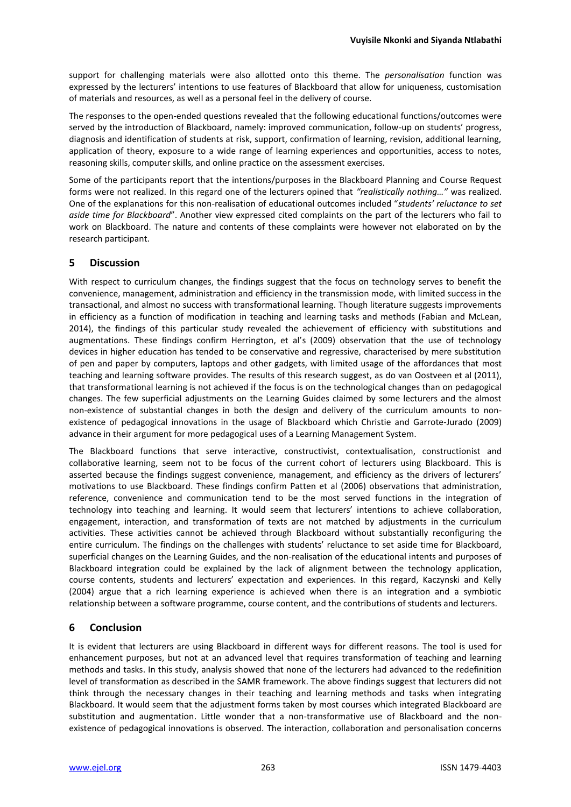support for challenging materials were also allotted onto this theme. The *personalisation* function was expressed by the lecturers' intentions to use features of Blackboard that allow for uniqueness, customisation of materials and resources, as well as a personal feel in the delivery of course.

The responses to the open-ended questions revealed that the following educational functions/outcomes were served by the introduction of Blackboard, namely: improved communication, follow-up on students' progress, diagnosis and identification of students at risk, support, confirmation of learning, revision, additional learning, application of theory, exposure to a wide range of learning experiences and opportunities, access to notes, reasoning skills, computer skills, and online practice on the assessment exercises.

Some of the participants report that the intentions/purposes in the Blackboard Planning and Course Request forms were not realized. In this regard one of the lecturers opined that *"realistically nothing…"* was realized. One of the explanations for this non-realisation of educational outcomes included "*students' reluctance to set aside time for Blackboard*". Another view expressed cited complaints on the part of the lecturers who fail to work on Blackboard. The nature and contents of these complaints were however not elaborated on by the research participant.

# **5 Discussion**

With respect to curriculum changes, the findings suggest that the focus on technology serves to benefit the convenience, management, administration and efficiency in the transmission mode, with limited success in the transactional, and almost no success with transformational learning. Though literature suggests improvements in efficiency as a function of modification in teaching and learning tasks and methods (Fabian and McLean, 2014), the findings of this particular study revealed the achievement of efficiency with substitutions and augmentations. These findings confirm Herrington, et al's (2009) observation that the use of technology devices in higher education has tended to be conservative and regressive, characterised by mere substitution of pen and paper by computers, laptops and other gadgets, with limited usage of the affordances that most teaching and learning software provides. The results of this research suggest, as do van Oostveen et al (2011), that transformational learning is not achieved if the focus is on the technological changes than on pedagogical changes. The few superficial adjustments on the Learning Guides claimed by some lecturers and the almost non-existence of substantial changes in both the design and delivery of the curriculum amounts to nonexistence of pedagogical innovations in the usage of Blackboard which Christie and Garrote-Jurado (2009) advance in their argument for more pedagogical uses of a Learning Management System.

The Blackboard functions that serve interactive, constructivist, contextualisation, constructionist and collaborative learning, seem not to be focus of the current cohort of lecturers using Blackboard. This is asserted because the findings suggest convenience, management, and efficiency as the drivers of lecturers' motivations to use Blackboard. These findings confirm Patten et al (2006) observations that administration, reference, convenience and communication tend to be the most served functions in the integration of technology into teaching and learning. It would seem that lecturers' intentions to achieve collaboration, engagement, interaction, and transformation of texts are not matched by adjustments in the curriculum activities. These activities cannot be achieved through Blackboard without substantially reconfiguring the entire curriculum. The findings on the challenges with students' reluctance to set aside time for Blackboard, superficial changes on the Learning Guides, and the non-realisation of the educational intents and purposes of Blackboard integration could be explained by the lack of alignment between the technology application, course contents, students and lecturers' expectation and experiences. In this regard, Kaczynski and Kelly (2004) argue that a rich learning experience is achieved when there is an integration and a symbiotic relationship between a software programme, course content, and the contributions of students and lecturers.

# **6 Conclusion**

It is evident that lecturers are using Blackboard in different ways for different reasons. The tool is used for enhancement purposes, but not at an advanced level that requires transformation of teaching and learning methods and tasks. In this study, analysis showed that none of the lecturers had advanced to the redefinition level of transformation as described in the SAMR framework. The above findings suggest that lecturers did not think through the necessary changes in their teaching and learning methods and tasks when integrating Blackboard. It would seem that the adjustment forms taken by most courses which integrated Blackboard are substitution and augmentation. Little wonder that a non-transformative use of Blackboard and the nonexistence of pedagogical innovations is observed. The interaction, collaboration and personalisation concerns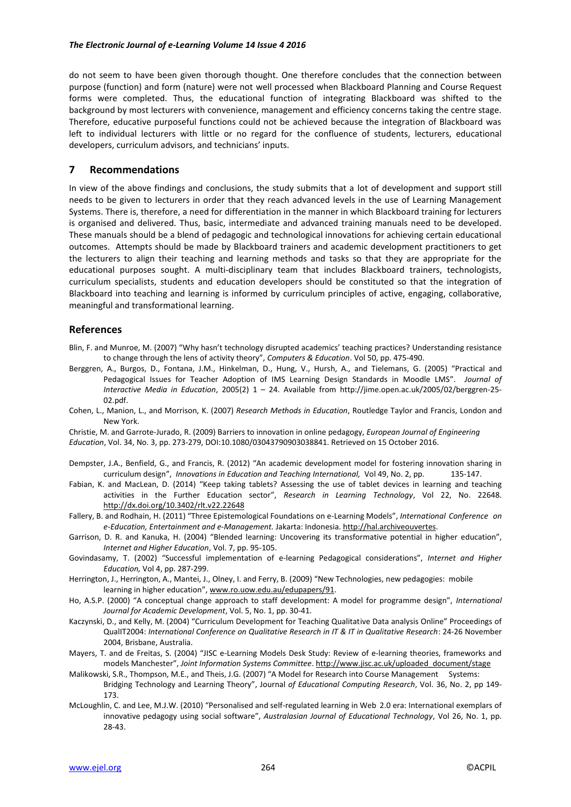#### *The Electronic Journal of e-Learning Volume 14 Issue 4 2016*

do not seem to have been given thorough thought. One therefore concludes that the connection between purpose (function) and form (nature) were not well processed when Blackboard Planning and Course Request forms were completed. Thus, the educational function of integrating Blackboard was shifted to the background by most lecturers with convenience, management and efficiency concerns taking the centre stage. Therefore, educative purposeful functions could not be achieved because the integration of Blackboard was left to individual lecturers with little or no regard for the confluence of students, lecturers, educational developers, curriculum advisors, and technicians' inputs.

#### **7 Recommendations**

In view of the above findings and conclusions, the study submits that a lot of development and support still needs to be given to lecturers in order that they reach advanced levels in the use of Learning Management Systems. There is, therefore, a need for differentiation in the manner in which Blackboard training for lecturers is organised and delivered. Thus, basic, intermediate and advanced training manuals need to be developed. These manuals should be a blend of pedagogic and technological innovations for achieving certain educational outcomes. Attempts should be made by Blackboard trainers and academic development practitioners to get the lecturers to align their teaching and learning methods and tasks so that they are appropriate for the educational purposes sought. A multi-disciplinary team that includes Blackboard trainers, technologists, curriculum specialists, students and education developers should be constituted so that the integration of Blackboard into teaching and learning is informed by curriculum principles of active, engaging, collaborative, meaningful and transformational learning.

#### **References**

- Blin, F. and Munroe, M. (2007) "Why hasn't technology disrupted academics' teaching practices? Understanding resistance to change through the lens of activity theory", *Computers & Education*. Vol 50, pp. 475-490.
- Berggren, A., Burgos, D., Fontana, J.M., Hinkelman, D., Hung, V., Hursh, A., and Tielemans, G. (2005) "Practical and Pedagogical Issues for Teacher Adoption of IMS Learning Design Standards in Moodle LMS". *Journal of Interactive Media in Education*, 2005(2) 1 – 24. Available from http://jime.open.ac.uk/2005/02/berggren-25- 02.pdf.
- Cohen, L., Manion, L., and Morrison, K. (2007) *Research Methods in Education*, Routledge Taylor and Francis, London and New York.
- Christie, M. and Garrote-Jurado, R. (2009) Barriers to innovation in online pedagogy, *European Journal of Engineering Education*, Vol. 34, No. 3, pp. 273-279, DOI:10.1080/03043790903038841. Retrieved on 15 October 2016.
- Dempster, J.A., Benfield, G., and Francis, R. (2012) "An academic development model for fostering innovation sharing in curriculum design", *Innovations in Education and Teaching International,* Vol 49, No. 2, pp. 135-147.
- Fabian, K. and MacLean, D. (2014) "Keep taking tablets? Assessing the use of tablet devices in learning and teaching activities in the Further Education sector", *Research in Learning Technology*, Vol 22, No. 22648. <http://dx.doi.org/10.3402/rlt.v22.22648>
- Fallery, B. and Rodhain, H. (2011) "Three Epistemological Foundations on e-Learning Models", *International Conference on e-Education, Entertainment and e-Management.* Jakarta: Indonesia. [http://hal.archiveouvertes.](http://hal.archiveouvertes/)
- Garrison, D. R. and Kanuka, H. (2004) "Blended learning: Uncovering its transformative potential in higher education", *Internet and Higher Education*, Vol. 7, pp. 95-105.
- Govindasamy, T. (2002) "Successful implementation of e-learning Pedagogical considerations", *Internet and Higher Education,* Vol 4, pp. 287-299.
- Herrington, J., Herrington, A., Mantei, J., Olney, I. and Ferry, B. (2009) "New Technologies, new pedagogies: mobile learning in higher education"[, www.ro.uow.edu.au/edupapers/91.](http://www.ro.uow.edu.au/edupapers/91)
- Ho, A.S.P. (2000) "A conceptual change approach to staff development: A model for programme design", *International Journal for Academic Development*, Vol. 5, No. 1, pp. 30-41.
- Kaczynski, D., and Kelly, M. (2004) "Curriculum Development for Teaching Qualitative Data analysis Online" Proceedings of QualIT2004: *International Conference on Qualitative Research in IT & IT in Qualitative Research*: 24-26 November 2004, Brisbane, Australia.
- Mayers, T. and de Freitas, S. (2004) "JISC e-Learning Models Desk Study: Review of e-learning theories, frameworks and models Manchester", *Joint Information Systems Committee*. [http://www.jisc.ac.uk/uploaded\\_document/stage](http://www.jisc.ac.uk/uploaded_document/stage)
- Malikowski, S.R., Thompson, M.E., and Theis, J.G. (2007) "A Model for Research into Course Management Systems: Bridging Technology and Learning Theory", Journal *of Educational Computing Research*, Vol. 36, No. 2, pp 149- 173.
- McLoughlin, C. and Lee, M.J.W. (2010) "Personalised and self-regulated learning in Web 2.0 era: International exemplars of innovative pedagogy using social software", *Australasian Journal of Educational Technology*, Vol 26, No. 1, pp. 28-43.